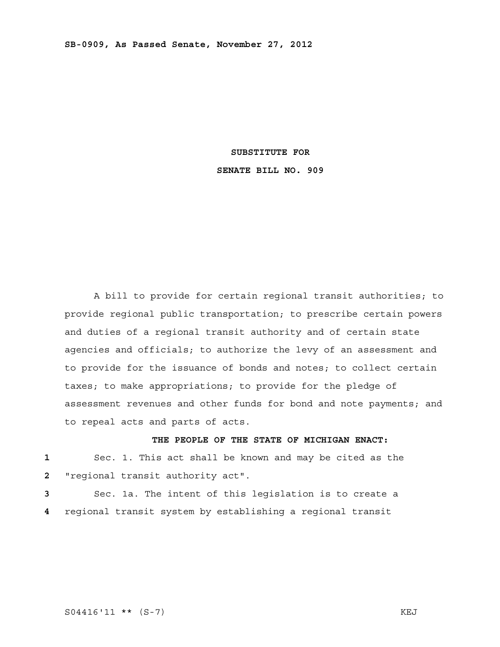#### **SUBSTITUTE FOR**

## **SENATE BILL NO. 909**

 A bill to provide for certain regional transit authorities; to provide regional public transportation; to prescribe certain powers and duties of a regional transit authority and of certain state agencies and officials; to authorize the levy of an assessment and to provide for the issuance of bonds and notes; to collect certain taxes; to make appropriations; to provide for the pledge of assessment revenues and other funds for bond and note payments; and to repeal acts and parts of acts.

# **THE PEOPLE OF THE STATE OF MICHIGAN ENACT:**

**1** Sec. 1. This act shall be known and may be cited as the **2** "regional transit authority act".

**3** Sec. 1a. The intent of this legislation is to create a **4** regional transit system by establishing a regional transit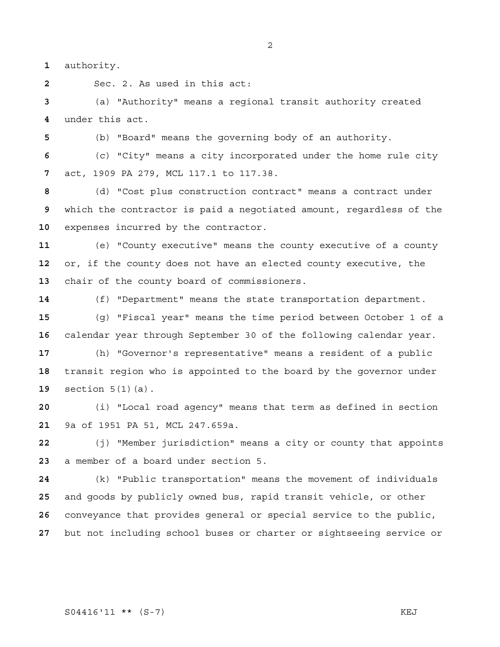authority.

Sec. 2. As used in this act:

(a) "Authority" means a regional transit authority created under this act.

(b) "Board" means the governing body of an authority.

(c) "City" means a city incorporated under the home rule city act, 1909 PA 279, MCL 117.1 to 117.38.

(d) "Cost plus construction contract" means a contract under which the contractor is paid a negotiated amount, regardless of the expenses incurred by the contractor.

(e) "County executive" means the county executive of a county or, if the county does not have an elected county executive, the chair of the county board of commissioners.

(f) "Department" means the state transportation department.

(g) "Fiscal year" means the time period between October 1 of a calendar year through September 30 of the following calendar year.

(h) "Governor's representative" means a resident of a public transit region who is appointed to the board by the governor under section 5(1)(a).

(i) "Local road agency" means that term as defined in section 9a of 1951 PA 51, MCL 247.659a.

(j) "Member jurisdiction" means a city or county that appoints a member of a board under section 5.

(k) "Public transportation" means the movement of individuals and goods by publicly owned bus, rapid transit vehicle, or other conveyance that provides general or special service to the public, but not including school buses or charter or sightseeing service or

S04416'11 \*\* (S-7) KEJ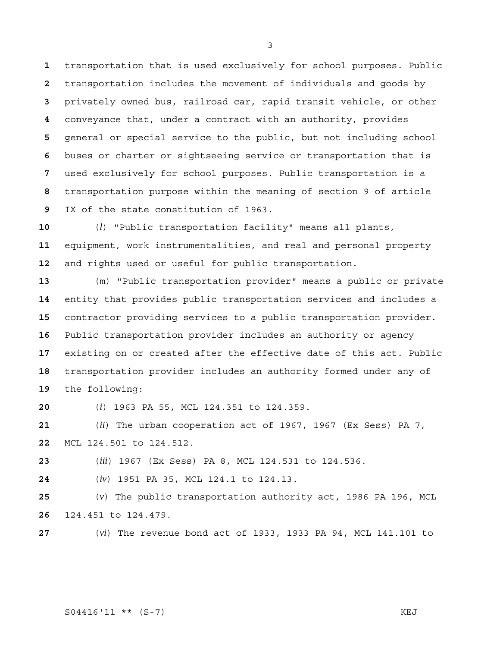transportation that is used exclusively for school purposes. Public transportation includes the movement of individuals and goods by privately owned bus, railroad car, rapid transit vehicle, or other conveyance that, under a contract with an authority, provides general or special service to the public, but not including school buses or charter or sightseeing service or transportation that is used exclusively for school purposes. Public transportation is a transportation purpose within the meaning of section 9 of article IX of the state constitution of 1963.

(*l*) "Public transportation facility" means all plants, equipment, work instrumentalities, and real and personal property and rights used or useful for public transportation.

(m) "Public transportation provider" means a public or private entity that provides public transportation services and includes a contractor providing services to a public transportation provider. Public transportation provider includes an authority or agency existing on or created after the effective date of this act. Public transportation provider includes an authority formed under any of the following:

(*i*) 1963 PA 55, MCL 124.351 to 124.359.

(*ii*) The urban cooperation act of 1967, 1967 (Ex Sess) PA 7, MCL 124.501 to 124.512.

(*iii*) 1967 (Ex Sess) PA 8, MCL 124.531 to 124.536.

(*iv*) 1951 PA 35, MCL 124.1 to 124.13.

(*v*) The public transportation authority act, 1986 PA 196, MCL 124.451 to 124.479.

(*vi*) The revenue bond act of 1933, 1933 PA 94, MCL 141.101 to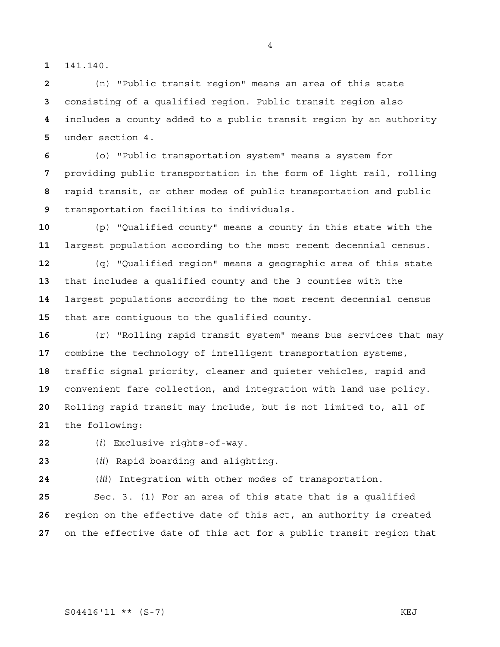141.140.

(n) "Public transit region" means an area of this state consisting of a qualified region. Public transit region also includes a county added to a public transit region by an authority under section 4.

(o) "Public transportation system" means a system for providing public transportation in the form of light rail, rolling rapid transit, or other modes of public transportation and public transportation facilities to individuals.

(p) "Qualified county" means a county in this state with the largest population according to the most recent decennial census.

(q) "Qualified region" means a geographic area of this state that includes a qualified county and the 3 counties with the largest populations according to the most recent decennial census that are contiguous to the qualified county.

(r) "Rolling rapid transit system" means bus services that may combine the technology of intelligent transportation systems, traffic signal priority, cleaner and quieter vehicles, rapid and convenient fare collection, and integration with land use policy. Rolling rapid transit may include, but is not limited to, all of the following:

(*i*) Exclusive rights-of-way.

(*ii*) Rapid boarding and alighting.

(*iii*) Integration with other modes of transportation.

Sec. 3. (1) For an area of this state that is a qualified region on the effective date of this act, an authority is created on the effective date of this act for a public transit region that

S04416'11 \*\* (S-7) KEJ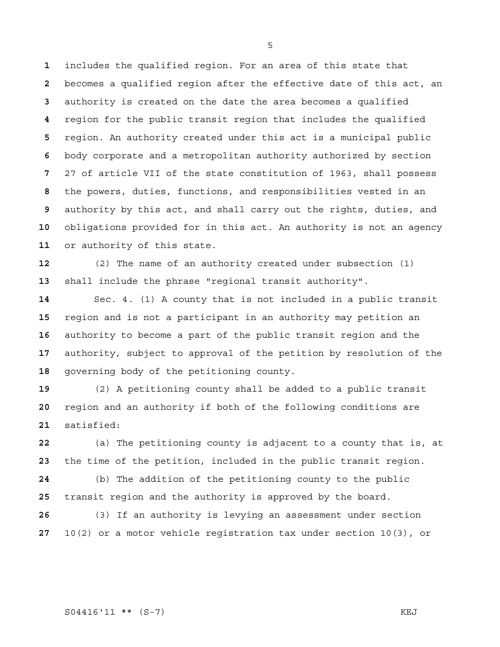includes the qualified region. For an area of this state that becomes a qualified region after the effective date of this act, an authority is created on the date the area becomes a qualified region for the public transit region that includes the qualified region. An authority created under this act is a municipal public body corporate and a metropolitan authority authorized by section 27 of article VII of the state constitution of 1963, shall possess the powers, duties, functions, and responsibilities vested in an authority by this act, and shall carry out the rights, duties, and obligations provided for in this act. An authority is not an agency or authority of this state.

(2) The name of an authority created under subsection (1) shall include the phrase "regional transit authority".

Sec. 4. (1) A county that is not included in a public transit region and is not a participant in an authority may petition an authority to become a part of the public transit region and the authority, subject to approval of the petition by resolution of the governing body of the petitioning county.

(2) A petitioning county shall be added to a public transit region and an authority if both of the following conditions are satisfied:

(a) The petitioning county is adjacent to a county that is, at the time of the petition, included in the public transit region.

(b) The addition of the petitioning county to the public transit region and the authority is approved by the board.

(3) If an authority is levying an assessment under section 10(2) or a motor vehicle registration tax under section 10(3), or

S04416'11 \*\* (S-7) KEJ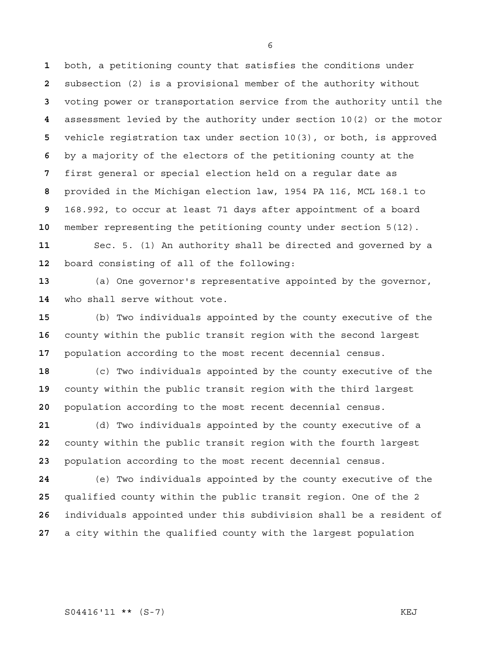both, a petitioning county that satisfies the conditions under subsection (2) is a provisional member of the authority without voting power or transportation service from the authority until the assessment levied by the authority under section 10(2) or the motor vehicle registration tax under section 10(3), or both, is approved by a majority of the electors of the petitioning county at the first general or special election held on a regular date as provided in the Michigan election law, 1954 PA 116, MCL 168.1 to 168.992, to occur at least 71 days after appointment of a board member representing the petitioning county under section 5(12).

Sec. 5. (1) An authority shall be directed and governed by a board consisting of all of the following:

(a) One governor's representative appointed by the governor, who shall serve without vote.

(b) Two individuals appointed by the county executive of the county within the public transit region with the second largest population according to the most recent decennial census.

(c) Two individuals appointed by the county executive of the county within the public transit region with the third largest population according to the most recent decennial census.

(d) Two individuals appointed by the county executive of a county within the public transit region with the fourth largest population according to the most recent decennial census.

(e) Two individuals appointed by the county executive of the qualified county within the public transit region. One of the 2 individuals appointed under this subdivision shall be a resident of a city within the qualified county with the largest population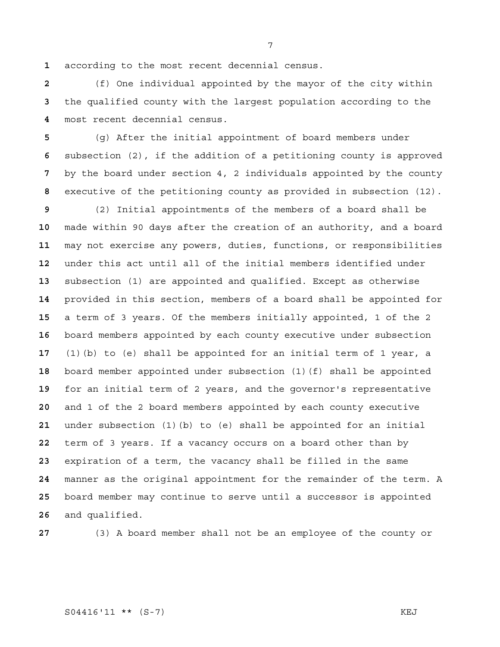according to the most recent decennial census.

(f) One individual appointed by the mayor of the city within the qualified county with the largest population according to the most recent decennial census.

(g) After the initial appointment of board members under subsection (2), if the addition of a petitioning county is approved by the board under section 4, 2 individuals appointed by the county executive of the petitioning county as provided in subsection (12).

(2) Initial appointments of the members of a board shall be made within 90 days after the creation of an authority, and a board may not exercise any powers, duties, functions, or responsibilities under this act until all of the initial members identified under subsection (1) are appointed and qualified. Except as otherwise provided in this section, members of a board shall be appointed for a term of 3 years. Of the members initially appointed, 1 of the 2 board members appointed by each county executive under subsection (1)(b) to (e) shall be appointed for an initial term of 1 year, a board member appointed under subsection (1)(f) shall be appointed for an initial term of 2 years, and the governor's representative and 1 of the 2 board members appointed by each county executive under subsection (1)(b) to (e) shall be appointed for an initial term of 3 years. If a vacancy occurs on a board other than by expiration of a term, the vacancy shall be filled in the same manner as the original appointment for the remainder of the term. A board member may continue to serve until a successor is appointed and qualified.

(3) A board member shall not be an employee of the county or

## S04416'11 \*\* (S-7) KEJ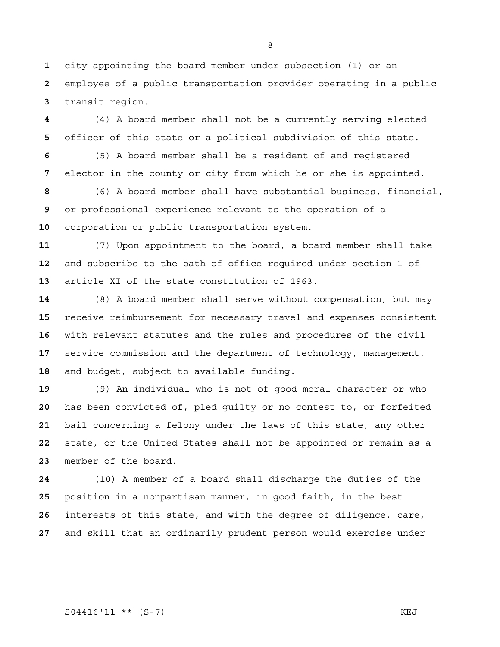city appointing the board member under subsection (1) or an employee of a public transportation provider operating in a public transit region.

(4) A board member shall not be a currently serving elected officer of this state or a political subdivision of this state.

(5) A board member shall be a resident of and registered elector in the county or city from which he or she is appointed.

(6) A board member shall have substantial business, financial, or professional experience relevant to the operation of a corporation or public transportation system.

(7) Upon appointment to the board, a board member shall take and subscribe to the oath of office required under section 1 of article XI of the state constitution of 1963.

(8) A board member shall serve without compensation, but may receive reimbursement for necessary travel and expenses consistent with relevant statutes and the rules and procedures of the civil service commission and the department of technology, management, and budget, subject to available funding.

(9) An individual who is not of good moral character or who has been convicted of, pled guilty or no contest to, or forfeited bail concerning a felony under the laws of this state, any other state, or the United States shall not be appointed or remain as a member of the board.

(10) A member of a board shall discharge the duties of the position in a nonpartisan manner, in good faith, in the best interests of this state, and with the degree of diligence, care, and skill that an ordinarily prudent person would exercise under

#### S04416'11 \*\* (S-7) KEJ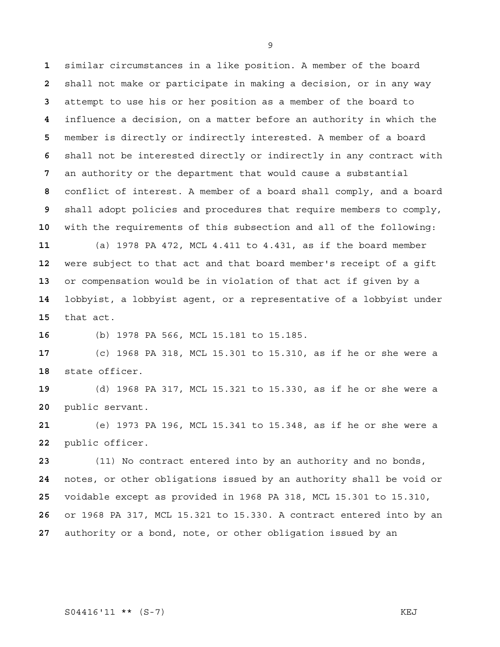similar circumstances in a like position. A member of the board shall not make or participate in making a decision, or in any way attempt to use his or her position as a member of the board to influence a decision, on a matter before an authority in which the member is directly or indirectly interested. A member of a board shall not be interested directly or indirectly in any contract with an authority or the department that would cause a substantial conflict of interest. A member of a board shall comply, and a board shall adopt policies and procedures that require members to comply, with the requirements of this subsection and all of the following: (a) 1978 PA 472, MCL 4.411 to 4.431, as if the board member were subject to that act and that board member's receipt of a gift or compensation would be in violation of that act if given by a lobbyist, a lobbyist agent, or a representative of a lobbyist under that act.

(b) 1978 PA 566, MCL 15.181 to 15.185.

(c) 1968 PA 318, MCL 15.301 to 15.310, as if he or she were a state officer.

(d) 1968 PA 317, MCL 15.321 to 15.330, as if he or she were a public servant.

(e) 1973 PA 196, MCL 15.341 to 15.348, as if he or she were a public officer.

(11) No contract entered into by an authority and no bonds, notes, or other obligations issued by an authority shall be void or voidable except as provided in 1968 PA 318, MCL 15.301 to 15.310, or 1968 PA 317, MCL 15.321 to 15.330. A contract entered into by an authority or a bond, note, or other obligation issued by an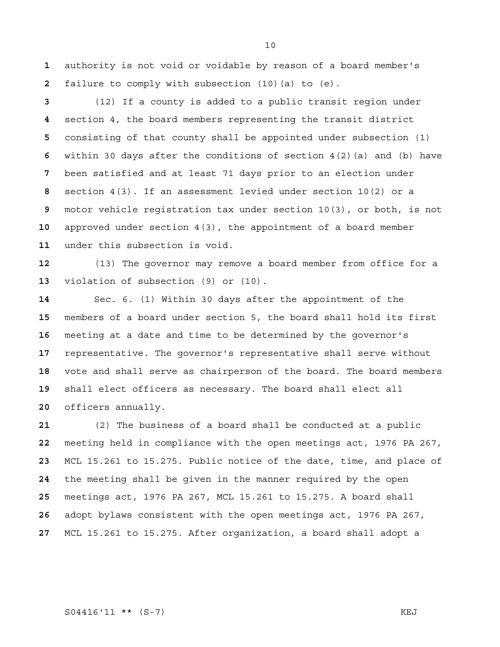authority is not void or voidable by reason of a board member's failure to comply with subsection (10)(a) to (e).

(12) If a county is added to a public transit region under section 4, the board members representing the transit district consisting of that county shall be appointed under subsection (1) within 30 days after the conditions of section 4(2)(a) and (b) have been satisfied and at least 71 days prior to an election under section 4(3). If an assessment levied under section 10(2) or a motor vehicle registration tax under section 10(3), or both, is not approved under section 4(3), the appointment of a board member under this subsection is void.

(13) The governor may remove a board member from office for a violation of subsection (9) or (10).

Sec. 6. (1) Within 30 days after the appointment of the members of a board under section 5, the board shall hold its first meeting at a date and time to be determined by the governor's representative. The governor's representative shall serve without vote and shall serve as chairperson of the board. The board members shall elect officers as necessary. The board shall elect all officers annually.

(2) The business of a board shall be conducted at a public meeting held in compliance with the open meetings act, 1976 PA 267, MCL 15.261 to 15.275. Public notice of the date, time, and place of the meeting shall be given in the manner required by the open meetings act, 1976 PA 267, MCL 15.261 to 15.275. A board shall adopt bylaws consistent with the open meetings act, 1976 PA 267, MCL 15.261 to 15.275. After organization, a board shall adopt a

S04416'11 \*\* (S-7) KEJ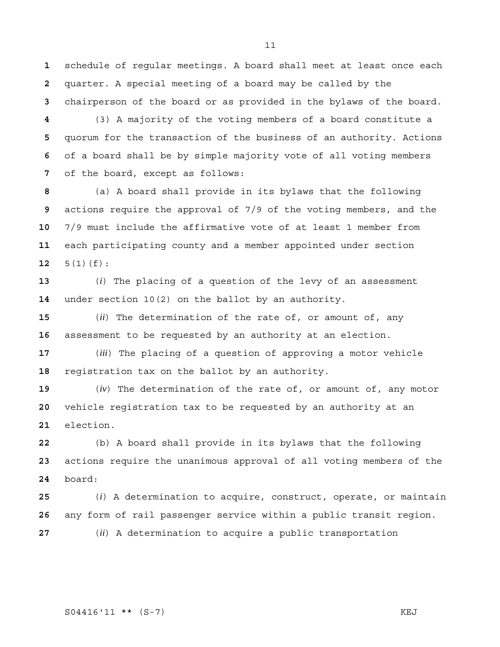schedule of regular meetings. A board shall meet at least once each quarter. A special meeting of a board may be called by the chairperson of the board or as provided in the bylaws of the board.

(3) A majority of the voting members of a board constitute a quorum for the transaction of the business of an authority. Actions of a board shall be by simple majority vote of all voting members of the board, except as follows:

(a) A board shall provide in its bylaws that the following actions require the approval of 7/9 of the voting members, and the 7/9 must include the affirmative vote of at least 1 member from each participating county and a member appointed under section 5(1)(f):

(*i*) The placing of a question of the levy of an assessment under section 10(2) on the ballot by an authority.

(*ii*) The determination of the rate of, or amount of, any assessment to be requested by an authority at an election.

(*iii*) The placing of a question of approving a motor vehicle registration tax on the ballot by an authority.

(*iv*) The determination of the rate of, or amount of, any motor vehicle registration tax to be requested by an authority at an election.

(b) A board shall provide in its bylaws that the following actions require the unanimous approval of all voting members of the board:

(*i*) A determination to acquire, construct, operate, or maintain any form of rail passenger service within a public transit region.

(*ii*) A determination to acquire a public transportation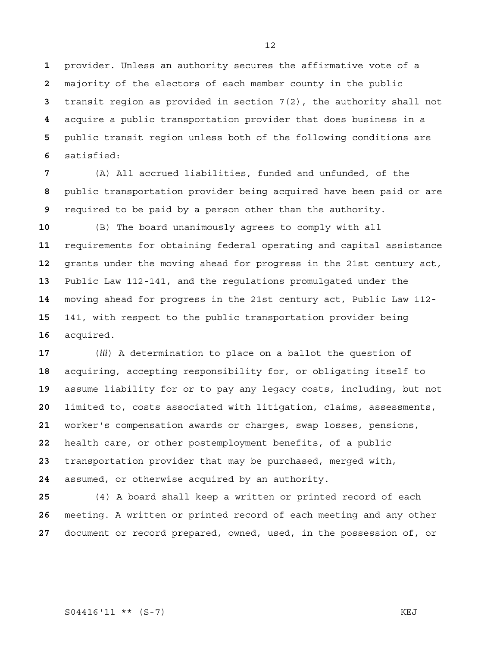provider. Unless an authority secures the affirmative vote of a majority of the electors of each member county in the public transit region as provided in section 7(2), the authority shall not acquire a public transportation provider that does business in a public transit region unless both of the following conditions are satisfied:

(A) All accrued liabilities, funded and unfunded, of the public transportation provider being acquired have been paid or are required to be paid by a person other than the authority.

(B) The board unanimously agrees to comply with all requirements for obtaining federal operating and capital assistance grants under the moving ahead for progress in the 21st century act, Public Law 112-141, and the regulations promulgated under the moving ahead for progress in the 21st century act, Public Law 112- 141, with respect to the public transportation provider being acquired.

(*iii*) A determination to place on a ballot the question of acquiring, accepting responsibility for, or obligating itself to assume liability for or to pay any legacy costs, including, but not limited to, costs associated with litigation, claims, assessments, worker's compensation awards or charges, swap losses, pensions, health care, or other postemployment benefits, of a public transportation provider that may be purchased, merged with, assumed, or otherwise acquired by an authority.

(4) A board shall keep a written or printed record of each meeting. A written or printed record of each meeting and any other document or record prepared, owned, used, in the possession of, or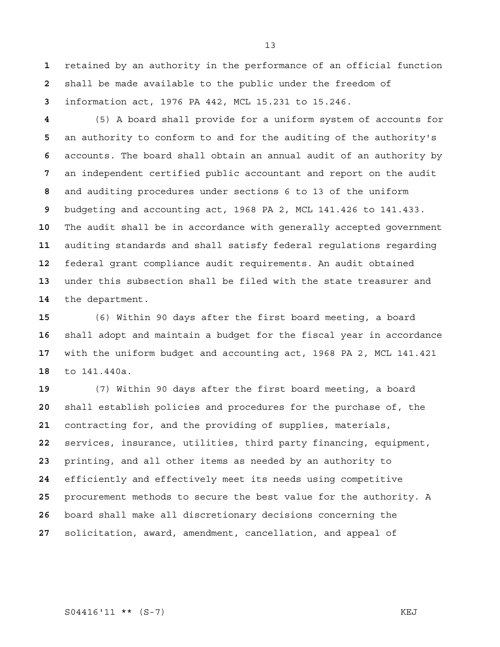retained by an authority in the performance of an official function shall be made available to the public under the freedom of information act, 1976 PA 442, MCL 15.231 to 15.246.

(5) A board shall provide for a uniform system of accounts for an authority to conform to and for the auditing of the authority's accounts. The board shall obtain an annual audit of an authority by an independent certified public accountant and report on the audit and auditing procedures under sections 6 to 13 of the uniform budgeting and accounting act, 1968 PA 2, MCL 141.426 to 141.433. The audit shall be in accordance with generally accepted government auditing standards and shall satisfy federal regulations regarding federal grant compliance audit requirements. An audit obtained under this subsection shall be filed with the state treasurer and the department.

(6) Within 90 days after the first board meeting, a board shall adopt and maintain a budget for the fiscal year in accordance with the uniform budget and accounting act, 1968 PA 2, MCL 141.421 to 141.440a.

(7) Within 90 days after the first board meeting, a board shall establish policies and procedures for the purchase of, the contracting for, and the providing of supplies, materials, services, insurance, utilities, third party financing, equipment, printing, and all other items as needed by an authority to efficiently and effectively meet its needs using competitive procurement methods to secure the best value for the authority. A board shall make all discretionary decisions concerning the solicitation, award, amendment, cancellation, and appeal of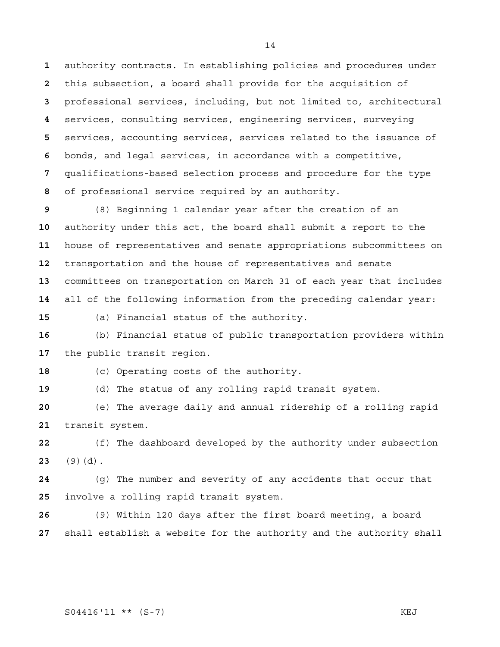authority contracts. In establishing policies and procedures under this subsection, a board shall provide for the acquisition of professional services, including, but not limited to, architectural services, consulting services, engineering services, surveying services, accounting services, services related to the issuance of bonds, and legal services, in accordance with a competitive, qualifications-based selection process and procedure for the type of professional service required by an authority.

(8) Beginning 1 calendar year after the creation of an authority under this act, the board shall submit a report to the house of representatives and senate appropriations subcommittees on transportation and the house of representatives and senate committees on transportation on March 31 of each year that includes all of the following information from the preceding calendar year:

(a) Financial status of the authority.

(b) Financial status of public transportation providers within the public transit region.

(c) Operating costs of the authority.

(d) The status of any rolling rapid transit system.

(e) The average daily and annual ridership of a rolling rapid transit system.

(f) The dashboard developed by the authority under subsection (9)(d).

(g) The number and severity of any accidents that occur that involve a rolling rapid transit system.

(9) Within 120 days after the first board meeting, a board shall establish a website for the authority and the authority shall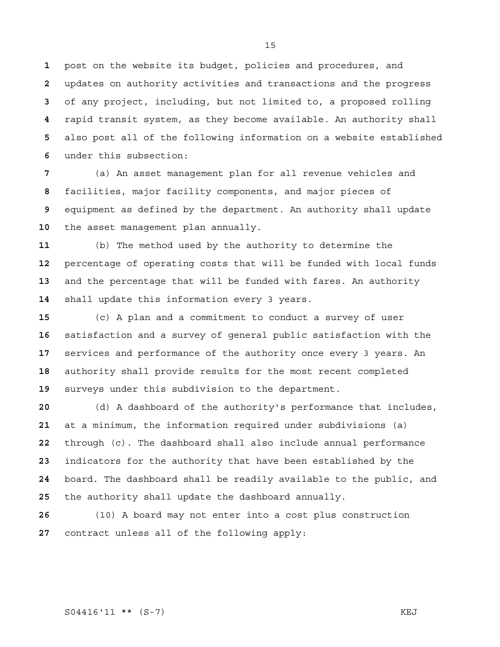post on the website its budget, policies and procedures, and updates on authority activities and transactions and the progress of any project, including, but not limited to, a proposed rolling rapid transit system, as they become available. An authority shall also post all of the following information on a website established under this subsection:

(a) An asset management plan for all revenue vehicles and facilities, major facility components, and major pieces of equipment as defined by the department. An authority shall update the asset management plan annually.

(b) The method used by the authority to determine the percentage of operating costs that will be funded with local funds and the percentage that will be funded with fares. An authority shall update this information every 3 years.

(c) A plan and a commitment to conduct a survey of user satisfaction and a survey of general public satisfaction with the services and performance of the authority once every 3 years. An authority shall provide results for the most recent completed surveys under this subdivision to the department.

(d) A dashboard of the authority's performance that includes, at a minimum, the information required under subdivisions (a) through (c). The dashboard shall also include annual performance indicators for the authority that have been established by the board. The dashboard shall be readily available to the public, and the authority shall update the dashboard annually.

(10) A board may not enter into a cost plus construction contract unless all of the following apply: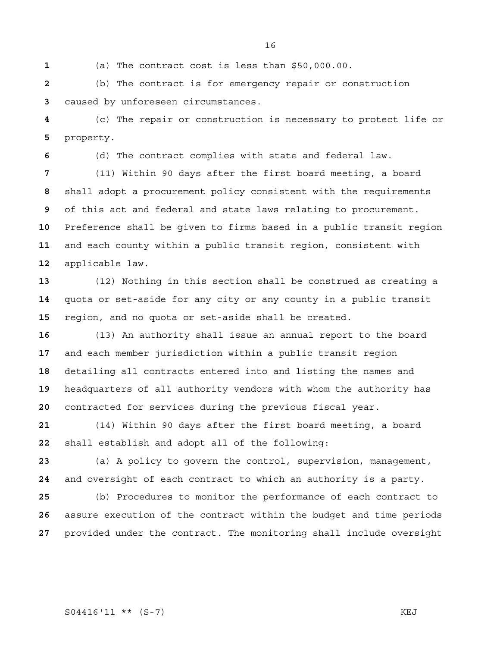(a) The contract cost is less than \$50,000.00.

(b) The contract is for emergency repair or construction caused by unforeseen circumstances.

(c) The repair or construction is necessary to protect life or property.

(d) The contract complies with state and federal law.

(11) Within 90 days after the first board meeting, a board shall adopt a procurement policy consistent with the requirements of this act and federal and state laws relating to procurement. Preference shall be given to firms based in a public transit region and each county within a public transit region, consistent with applicable law.

(12) Nothing in this section shall be construed as creating a quota or set-aside for any city or any county in a public transit region, and no quota or set-aside shall be created.

(13) An authority shall issue an annual report to the board and each member jurisdiction within a public transit region detailing all contracts entered into and listing the names and headquarters of all authority vendors with whom the authority has contracted for services during the previous fiscal year.

(14) Within 90 days after the first board meeting, a board shall establish and adopt all of the following:

(a) A policy to govern the control, supervision, management, and oversight of each contract to which an authority is a party.

(b) Procedures to monitor the performance of each contract to assure execution of the contract within the budget and time periods provided under the contract. The monitoring shall include oversight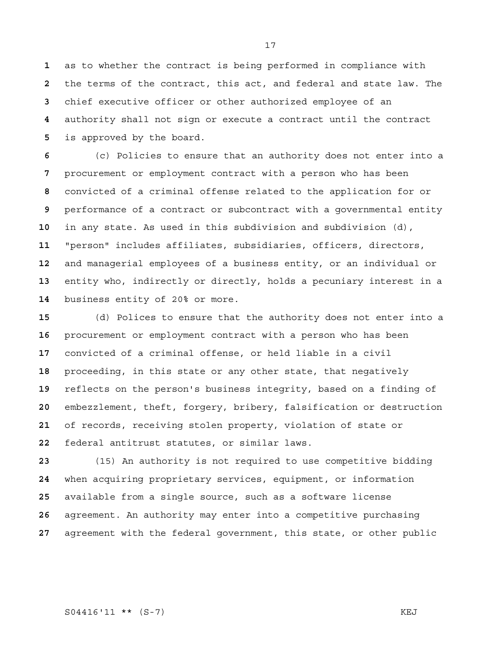as to whether the contract is being performed in compliance with the terms of the contract, this act, and federal and state law. The chief executive officer or other authorized employee of an authority shall not sign or execute a contract until the contract is approved by the board.

(c) Policies to ensure that an authority does not enter into a procurement or employment contract with a person who has been convicted of a criminal offense related to the application for or performance of a contract or subcontract with a governmental entity in any state. As used in this subdivision and subdivision (d), "person" includes affiliates, subsidiaries, officers, directors, and managerial employees of a business entity, or an individual or entity who, indirectly or directly, holds a pecuniary interest in a business entity of 20% or more.

(d) Polices to ensure that the authority does not enter into a procurement or employment contract with a person who has been convicted of a criminal offense, or held liable in a civil proceeding, in this state or any other state, that negatively reflects on the person's business integrity, based on a finding of embezzlement, theft, forgery, bribery, falsification or destruction of records, receiving stolen property, violation of state or federal antitrust statutes, or similar laws.

(15) An authority is not required to use competitive bidding when acquiring proprietary services, equipment, or information available from a single source, such as a software license agreement. An authority may enter into a competitive purchasing agreement with the federal government, this state, or other public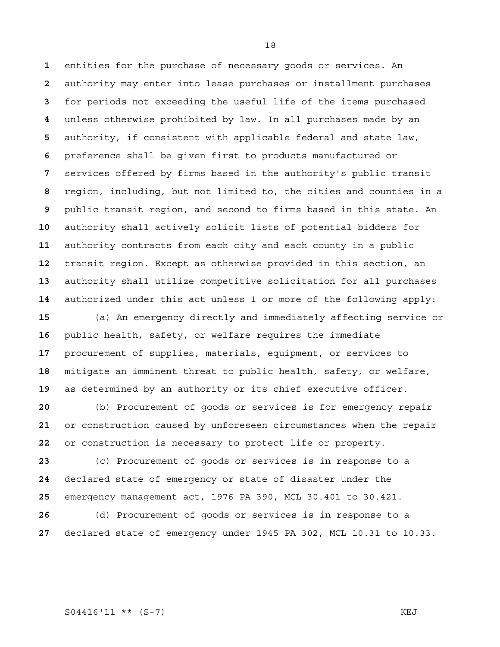entities for the purchase of necessary goods or services. An authority may enter into lease purchases or installment purchases for periods not exceeding the useful life of the items purchased unless otherwise prohibited by law. In all purchases made by an authority, if consistent with applicable federal and state law, preference shall be given first to products manufactured or services offered by firms based in the authority's public transit region, including, but not limited to, the cities and counties in a public transit region, and second to firms based in this state. An authority shall actively solicit lists of potential bidders for authority contracts from each city and each county in a public transit region. Except as otherwise provided in this section, an authority shall utilize competitive solicitation for all purchases authorized under this act unless 1 or more of the following apply:

(a) An emergency directly and immediately affecting service or public health, safety, or welfare requires the immediate procurement of supplies, materials, equipment, or services to mitigate an imminent threat to public health, safety, or welfare, as determined by an authority or its chief executive officer.

(b) Procurement of goods or services is for emergency repair or construction caused by unforeseen circumstances when the repair or construction is necessary to protect life or property.

(c) Procurement of goods or services is in response to a declared state of emergency or state of disaster under the emergency management act, 1976 PA 390, MCL 30.401 to 30.421.

(d) Procurement of goods or services is in response to a declared state of emergency under 1945 PA 302, MCL 10.31 to 10.33.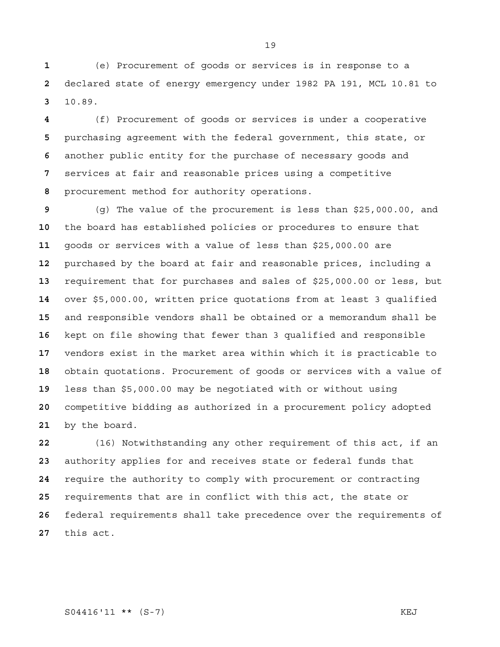(e) Procurement of goods or services is in response to a declared state of energy emergency under 1982 PA 191, MCL 10.81 to 10.89.

(f) Procurement of goods or services is under a cooperative purchasing agreement with the federal government, this state, or another public entity for the purchase of necessary goods and services at fair and reasonable prices using a competitive procurement method for authority operations.

(g) The value of the procurement is less than \$25,000.00, and the board has established policies or procedures to ensure that goods or services with a value of less than \$25,000.00 are purchased by the board at fair and reasonable prices, including a requirement that for purchases and sales of \$25,000.00 or less, but over \$5,000.00, written price quotations from at least 3 qualified and responsible vendors shall be obtained or a memorandum shall be kept on file showing that fewer than 3 qualified and responsible vendors exist in the market area within which it is practicable to obtain quotations. Procurement of goods or services with a value of less than \$5,000.00 may be negotiated with or without using competitive bidding as authorized in a procurement policy adopted by the board.

(16) Notwithstanding any other requirement of this act, if an authority applies for and receives state or federal funds that require the authority to comply with procurement or contracting requirements that are in conflict with this act, the state or federal requirements shall take precedence over the requirements of this act.

S04416'11 \*\* (S-7) KEJ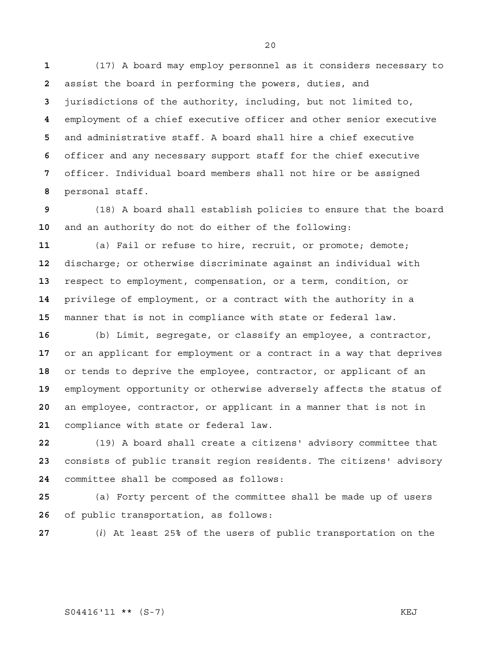(17) A board may employ personnel as it considers necessary to assist the board in performing the powers, duties, and jurisdictions of the authority, including, but not limited to, employment of a chief executive officer and other senior executive and administrative staff. A board shall hire a chief executive officer and any necessary support staff for the chief executive officer. Individual board members shall not hire or be assigned personal staff.

(18) A board shall establish policies to ensure that the board and an authority do not do either of the following:

(a) Fail or refuse to hire, recruit, or promote; demote; discharge; or otherwise discriminate against an individual with respect to employment, compensation, or a term, condition, or privilege of employment, or a contract with the authority in a manner that is not in compliance with state or federal law.

(b) Limit, segregate, or classify an employee, a contractor, or an applicant for employment or a contract in a way that deprives or tends to deprive the employee, contractor, or applicant of an employment opportunity or otherwise adversely affects the status of an employee, contractor, or applicant in a manner that is not in compliance with state or federal law.

(19) A board shall create a citizens' advisory committee that consists of public transit region residents. The citizens' advisory committee shall be composed as follows:

(a) Forty percent of the committee shall be made up of users of public transportation, as follows:

(*i*) At least 25% of the users of public transportation on the

S04416'11 \*\* (S-7) KEJ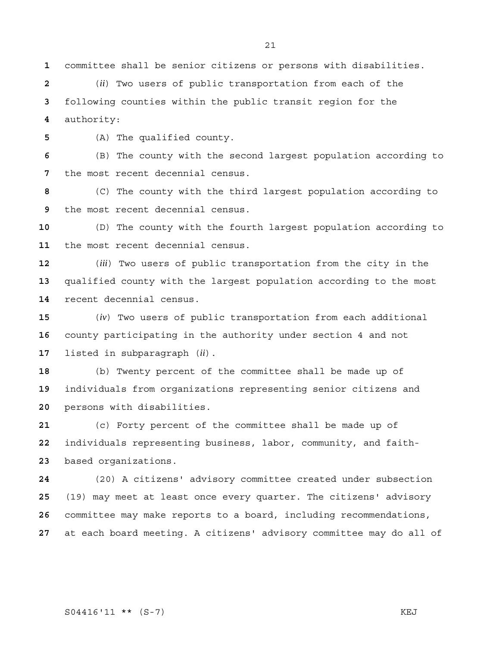committee shall be senior citizens or persons with disabilities.

(*ii*) Two users of public transportation from each of the following counties within the public transit region for the authority:

(A) The qualified county.

(B) The county with the second largest population according to the most recent decennial census.

(C) The county with the third largest population according to the most recent decennial census.

(D) The county with the fourth largest population according to the most recent decennial census.

(*iii*) Two users of public transportation from the city in the qualified county with the largest population according to the most recent decennial census.

(*iv*) Two users of public transportation from each additional county participating in the authority under section 4 and not listed in subparagraph (*ii*).

(b) Twenty percent of the committee shall be made up of individuals from organizations representing senior citizens and persons with disabilities.

(c) Forty percent of the committee shall be made up of individuals representing business, labor, community, and faith-based organizations.

(20) A citizens' advisory committee created under subsection (19) may meet at least once every quarter. The citizens' advisory committee may make reports to a board, including recommendations, at each board meeting. A citizens' advisory committee may do all of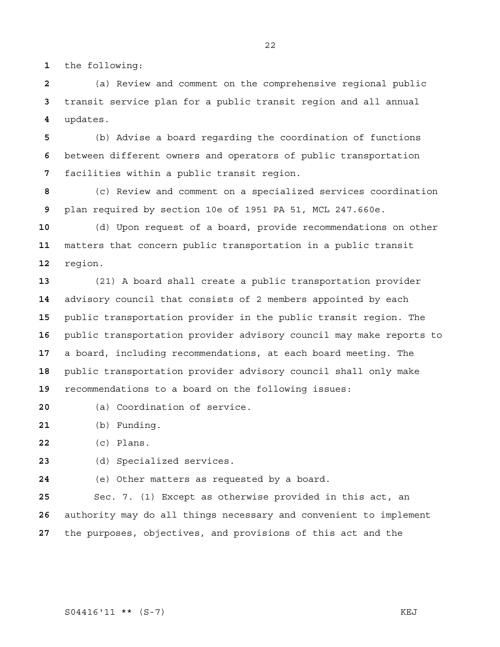the following:

(a) Review and comment on the comprehensive regional public transit service plan for a public transit region and all annual updates.

(b) Advise a board regarding the coordination of functions between different owners and operators of public transportation facilities within a public transit region.

(c) Review and comment on a specialized services coordination plan required by section 10e of 1951 PA 51, MCL 247.660e.

(d) Upon request of a board, provide recommendations on other matters that concern public transportation in a public transit region.

(21) A board shall create a public transportation provider advisory council that consists of 2 members appointed by each public transportation provider in the public transit region. The public transportation provider advisory council may make reports to a board, including recommendations, at each board meeting. The public transportation provider advisory council shall only make recommendations to a board on the following issues:

- (a) Coordination of service.
- (b) Funding.

(c) Plans.

(d) Specialized services.

(e) Other matters as requested by a board.

Sec. 7. (1) Except as otherwise provided in this act, an authority may do all things necessary and convenient to implement the purposes, objectives, and provisions of this act and the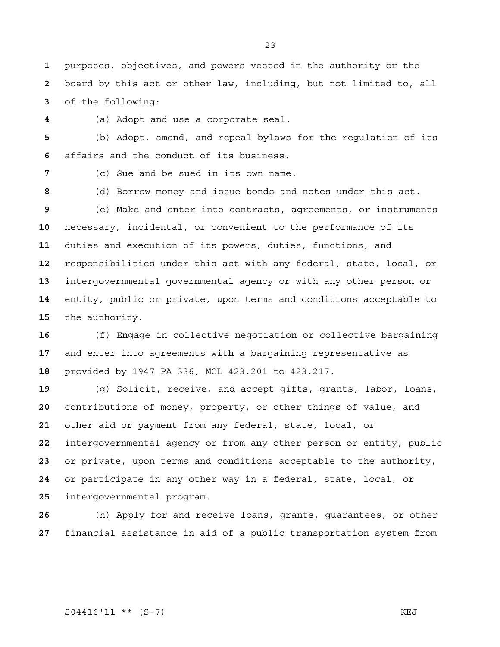purposes, objectives, and powers vested in the authority or the board by this act or other law, including, but not limited to, all of the following:

(a) Adopt and use a corporate seal.

(b) Adopt, amend, and repeal bylaws for the regulation of its affairs and the conduct of its business.

(c) Sue and be sued in its own name.

(d) Borrow money and issue bonds and notes under this act.

(e) Make and enter into contracts, agreements, or instruments necessary, incidental, or convenient to the performance of its duties and execution of its powers, duties, functions, and responsibilities under this act with any federal, state, local, or intergovernmental governmental agency or with any other person or entity, public or private, upon terms and conditions acceptable to the authority.

(f) Engage in collective negotiation or collective bargaining and enter into agreements with a bargaining representative as provided by 1947 PA 336, MCL 423.201 to 423.217.

(g) Solicit, receive, and accept gifts, grants, labor, loans, contributions of money, property, or other things of value, and other aid or payment from any federal, state, local, or intergovernmental agency or from any other person or entity, public or private, upon terms and conditions acceptable to the authority, or participate in any other way in a federal, state, local, or intergovernmental program.

(h) Apply for and receive loans, grants, guarantees, or other financial assistance in aid of a public transportation system from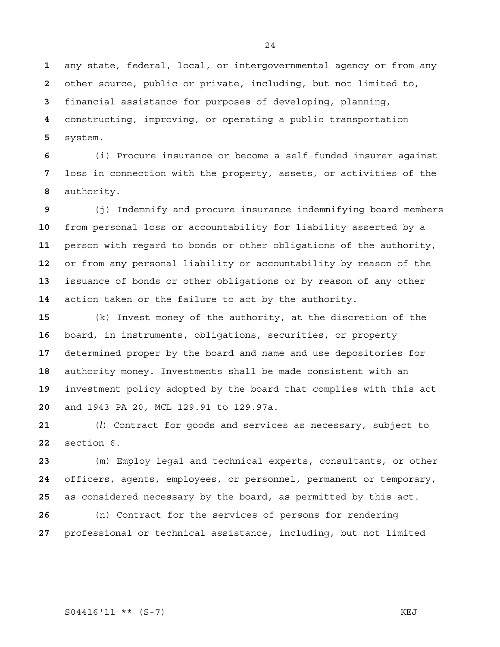any state, federal, local, or intergovernmental agency or from any other source, public or private, including, but not limited to, financial assistance for purposes of developing, planning, constructing, improving, or operating a public transportation system.

(i) Procure insurance or become a self-funded insurer against loss in connection with the property, assets, or activities of the authority.

(j) Indemnify and procure insurance indemnifying board members from personal loss or accountability for liability asserted by a person with regard to bonds or other obligations of the authority, or from any personal liability or accountability by reason of the issuance of bonds or other obligations or by reason of any other action taken or the failure to act by the authority.

(k) Invest money of the authority, at the discretion of the board, in instruments, obligations, securities, or property determined proper by the board and name and use depositories for authority money. Investments shall be made consistent with an investment policy adopted by the board that complies with this act and 1943 PA 20, MCL 129.91 to 129.97a.

(*l*) Contract for goods and services as necessary, subject to section 6.

(m) Employ legal and technical experts, consultants, or other officers, agents, employees, or personnel, permanent or temporary, as considered necessary by the board, as permitted by this act.

(n) Contract for the services of persons for rendering professional or technical assistance, including, but not limited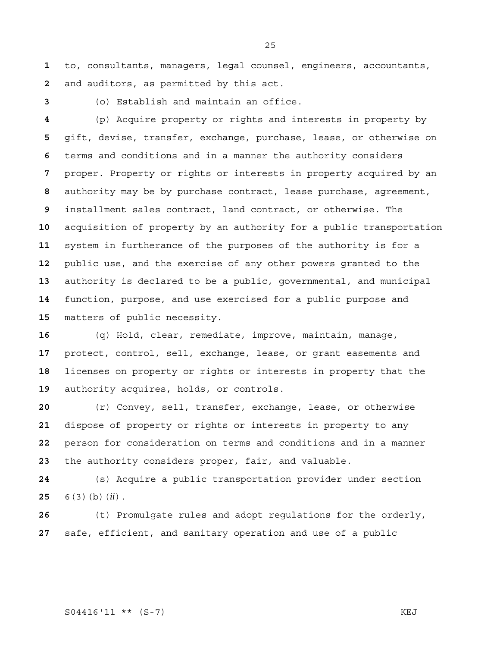to, consultants, managers, legal counsel, engineers, accountants, and auditors, as permitted by this act.

(o) Establish and maintain an office.

(p) Acquire property or rights and interests in property by gift, devise, transfer, exchange, purchase, lease, or otherwise on terms and conditions and in a manner the authority considers proper. Property or rights or interests in property acquired by an authority may be by purchase contract, lease purchase, agreement, installment sales contract, land contract, or otherwise. The acquisition of property by an authority for a public transportation system in furtherance of the purposes of the authority is for a public use, and the exercise of any other powers granted to the authority is declared to be a public, governmental, and municipal function, purpose, and use exercised for a public purpose and matters of public necessity.

(q) Hold, clear, remediate, improve, maintain, manage, protect, control, sell, exchange, lease, or grant easements and licenses on property or rights or interests in property that the authority acquires, holds, or controls.

(r) Convey, sell, transfer, exchange, lease, or otherwise dispose of property or rights or interests in property to any person for consideration on terms and conditions and in a manner the authority considers proper, fair, and valuable.

(s) Acquire a public transportation provider under section 6(3)(b)(*ii*).

(t) Promulgate rules and adopt regulations for the orderly, safe, efficient, and sanitary operation and use of a public

#### S04416'11 \*\* (S-7) KEJ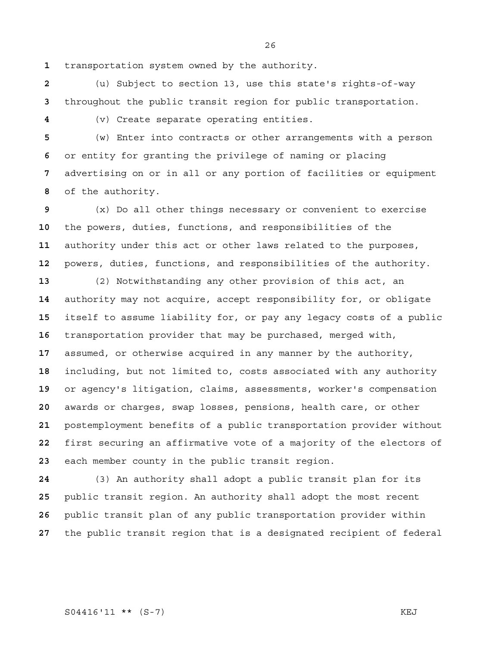transportation system owned by the authority.

(u) Subject to section 13, use this state's rights-of-way throughout the public transit region for public transportation.

(v) Create separate operating entities.

(w) Enter into contracts or other arrangements with a person or entity for granting the privilege of naming or placing advertising on or in all or any portion of facilities or equipment of the authority.

(x) Do all other things necessary or convenient to exercise the powers, duties, functions, and responsibilities of the authority under this act or other laws related to the purposes, powers, duties, functions, and responsibilities of the authority.

(2) Notwithstanding any other provision of this act, an authority may not acquire, accept responsibility for, or obligate itself to assume liability for, or pay any legacy costs of a public transportation provider that may be purchased, merged with, assumed, or otherwise acquired in any manner by the authority, including, but not limited to, costs associated with any authority or agency's litigation, claims, assessments, worker's compensation awards or charges, swap losses, pensions, health care, or other postemployment benefits of a public transportation provider without first securing an affirmative vote of a majority of the electors of each member county in the public transit region.

(3) An authority shall adopt a public transit plan for its public transit region. An authority shall adopt the most recent public transit plan of any public transportation provider within the public transit region that is a designated recipient of federal

S04416'11 \*\* (S-7) KEJ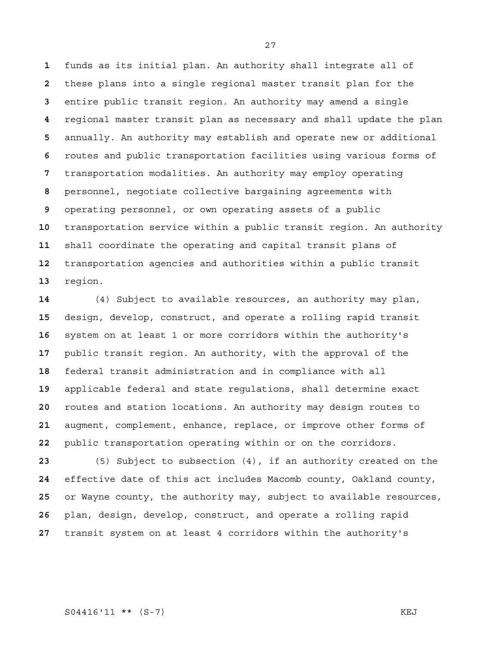funds as its initial plan. An authority shall integrate all of these plans into a single regional master transit plan for the entire public transit region. An authority may amend a single regional master transit plan as necessary and shall update the plan annually. An authority may establish and operate new or additional routes and public transportation facilities using various forms of transportation modalities. An authority may employ operating personnel, negotiate collective bargaining agreements with operating personnel, or own operating assets of a public transportation service within a public transit region. An authority shall coordinate the operating and capital transit plans of transportation agencies and authorities within a public transit region.

(4) Subject to available resources, an authority may plan, design, develop, construct, and operate a rolling rapid transit system on at least 1 or more corridors within the authority's public transit region. An authority, with the approval of the federal transit administration and in compliance with all applicable federal and state regulations, shall determine exact routes and station locations. An authority may design routes to augment, complement, enhance, replace, or improve other forms of public transportation operating within or on the corridors.

(5) Subject to subsection (4), if an authority created on the effective date of this act includes Macomb county, Oakland county, or Wayne county, the authority may, subject to available resources, plan, design, develop, construct, and operate a rolling rapid transit system on at least 4 corridors within the authority's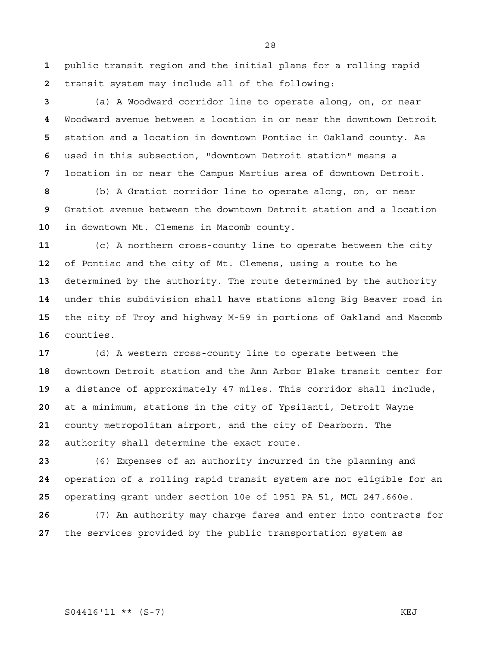public transit region and the initial plans for a rolling rapid transit system may include all of the following:

(a) A Woodward corridor line to operate along, on, or near Woodward avenue between a location in or near the downtown Detroit station and a location in downtown Pontiac in Oakland county. As used in this subsection, "downtown Detroit station" means a location in or near the Campus Martius area of downtown Detroit.

(b) A Gratiot corridor line to operate along, on, or near Gratiot avenue between the downtown Detroit station and a location in downtown Mt. Clemens in Macomb county.

(c) A northern cross-county line to operate between the city of Pontiac and the city of Mt. Clemens, using a route to be determined by the authority. The route determined by the authority under this subdivision shall have stations along Big Beaver road in the city of Troy and highway M-59 in portions of Oakland and Macomb counties.

(d) A western cross-county line to operate between the downtown Detroit station and the Ann Arbor Blake transit center for a distance of approximately 47 miles. This corridor shall include, at a minimum, stations in the city of Ypsilanti, Detroit Wayne county metropolitan airport, and the city of Dearborn. The authority shall determine the exact route.

(6) Expenses of an authority incurred in the planning and operation of a rolling rapid transit system are not eligible for an operating grant under section 10e of 1951 PA 51, MCL 247.660e.

(7) An authority may charge fares and enter into contracts for the services provided by the public transportation system as

S04416'11 \*\* (S-7) KEJ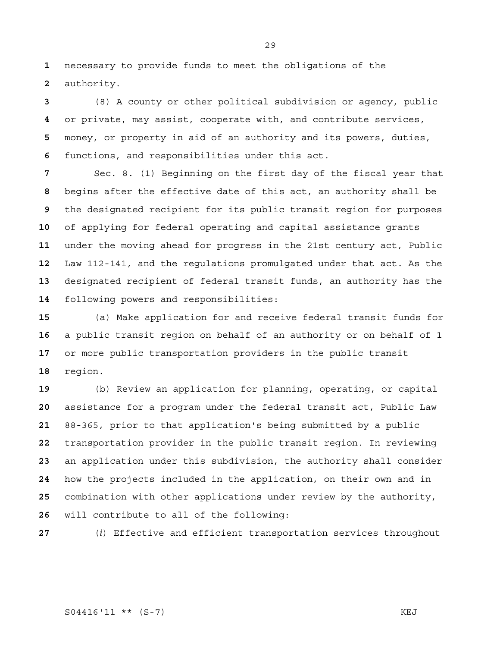necessary to provide funds to meet the obligations of the authority.

(8) A county or other political subdivision or agency, public or private, may assist, cooperate with, and contribute services, money, or property in aid of an authority and its powers, duties, functions, and responsibilities under this act.

Sec. 8. (1) Beginning on the first day of the fiscal year that begins after the effective date of this act, an authority shall be the designated recipient for its public transit region for purposes of applying for federal operating and capital assistance grants under the moving ahead for progress in the 21st century act, Public Law 112-141, and the regulations promulgated under that act. As the designated recipient of federal transit funds, an authority has the following powers and responsibilities:

(a) Make application for and receive federal transit funds for a public transit region on behalf of an authority or on behalf of 1 or more public transportation providers in the public transit region.

(b) Review an application for planning, operating, or capital assistance for a program under the federal transit act, Public Law 88-365, prior to that application's being submitted by a public transportation provider in the public transit region. In reviewing an application under this subdivision, the authority shall consider how the projects included in the application, on their own and in combination with other applications under review by the authority, will contribute to all of the following:

(*i*) Effective and efficient transportation services throughout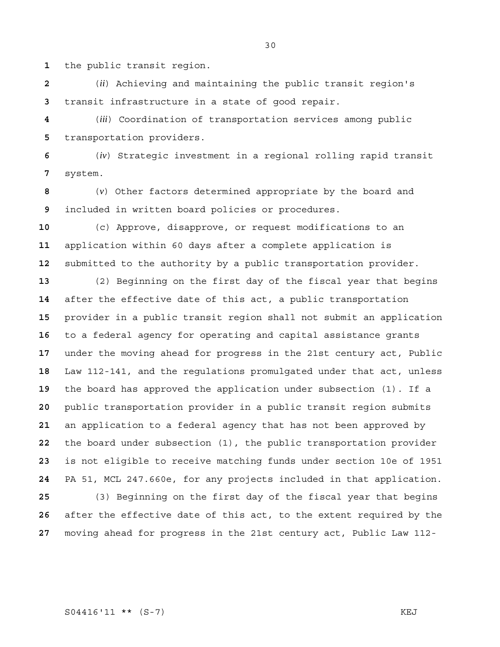the public transit region.

(*ii*) Achieving and maintaining the public transit region's transit infrastructure in a state of good repair.

(*iii*) Coordination of transportation services among public transportation providers.

(*iv*) Strategic investment in a regional rolling rapid transit system.

(*v*) Other factors determined appropriate by the board and included in written board policies or procedures.

(c) Approve, disapprove, or request modifications to an application within 60 days after a complete application is submitted to the authority by a public transportation provider.

(2) Beginning on the first day of the fiscal year that begins after the effective date of this act, a public transportation provider in a public transit region shall not submit an application to a federal agency for operating and capital assistance grants under the moving ahead for progress in the 21st century act, Public Law 112-141, and the regulations promulgated under that act, unless the board has approved the application under subsection (1). If a public transportation provider in a public transit region submits an application to a federal agency that has not been approved by the board under subsection (1), the public transportation provider is not eligible to receive matching funds under section 10e of 1951 PA 51, MCL 247.660e, for any projects included in that application. (3) Beginning on the first day of the fiscal year that begins

after the effective date of this act, to the extent required by the moving ahead for progress in the 21st century act, Public Law 112-

S04416'11 \*\* (S-7) KEJ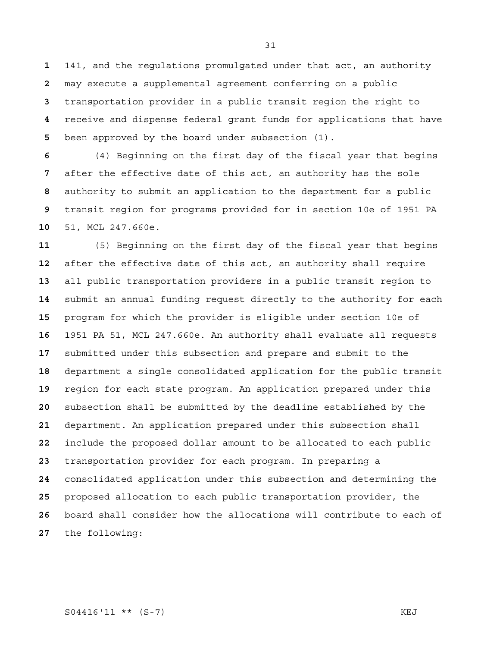141, and the regulations promulgated under that act, an authority may execute a supplemental agreement conferring on a public transportation provider in a public transit region the right to receive and dispense federal grant funds for applications that have been approved by the board under subsection (1).

(4) Beginning on the first day of the fiscal year that begins after the effective date of this act, an authority has the sole authority to submit an application to the department for a public transit region for programs provided for in section 10e of 1951 PA 51, MCL 247.660e.

(5) Beginning on the first day of the fiscal year that begins after the effective date of this act, an authority shall require all public transportation providers in a public transit region to submit an annual funding request directly to the authority for each program for which the provider is eligible under section 10e of 1951 PA 51, MCL 247.660e. An authority shall evaluate all requests submitted under this subsection and prepare and submit to the department a single consolidated application for the public transit region for each state program. An application prepared under this subsection shall be submitted by the deadline established by the department. An application prepared under this subsection shall include the proposed dollar amount to be allocated to each public transportation provider for each program. In preparing a consolidated application under this subsection and determining the proposed allocation to each public transportation provider, the board shall consider how the allocations will contribute to each of the following: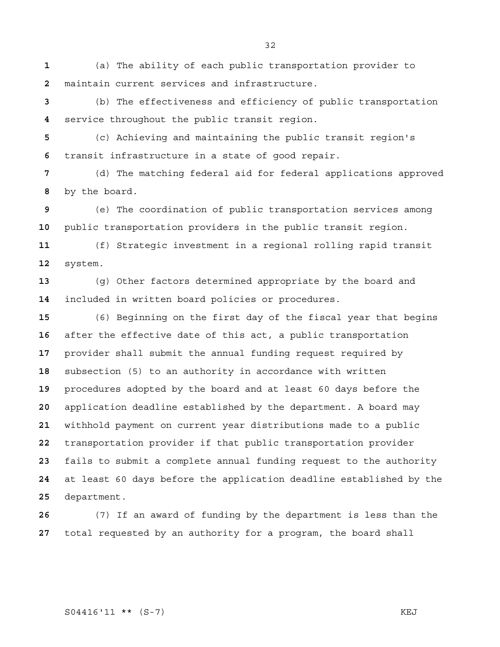(a) The ability of each public transportation provider to maintain current services and infrastructure.

(b) The effectiveness and efficiency of public transportation service throughout the public transit region.

(c) Achieving and maintaining the public transit region's transit infrastructure in a state of good repair.

(d) The matching federal aid for federal applications approved by the board.

(e) The coordination of public transportation services among public transportation providers in the public transit region.

(f) Strategic investment in a regional rolling rapid transit system.

(g) Other factors determined appropriate by the board and included in written board policies or procedures.

(6) Beginning on the first day of the fiscal year that begins after the effective date of this act, a public transportation provider shall submit the annual funding request required by subsection (5) to an authority in accordance with written procedures adopted by the board and at least 60 days before the application deadline established by the department. A board may withhold payment on current year distributions made to a public transportation provider if that public transportation provider fails to submit a complete annual funding request to the authority at least 60 days before the application deadline established by the department.

(7) If an award of funding by the department is less than the total requested by an authority for a program, the board shall

## S04416'11 \*\* (S-7) KEJ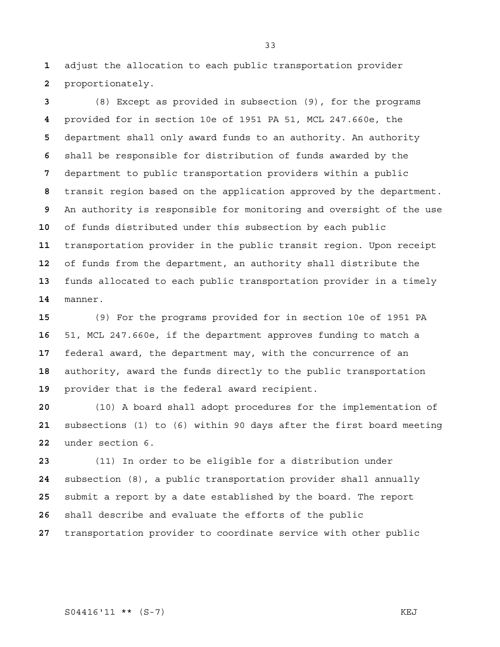adjust the allocation to each public transportation provider proportionately.

(8) Except as provided in subsection (9), for the programs provided for in section 10e of 1951 PA 51, MCL 247.660e, the department shall only award funds to an authority. An authority shall be responsible for distribution of funds awarded by the department to public transportation providers within a public transit region based on the application approved by the department. An authority is responsible for monitoring and oversight of the use of funds distributed under this subsection by each public transportation provider in the public transit region. Upon receipt of funds from the department, an authority shall distribute the funds allocated to each public transportation provider in a timely manner.

(9) For the programs provided for in section 10e of 1951 PA 51, MCL 247.660e, if the department approves funding to match a federal award, the department may, with the concurrence of an authority, award the funds directly to the public transportation provider that is the federal award recipient.

(10) A board shall adopt procedures for the implementation of subsections (1) to (6) within 90 days after the first board meeting under section 6.

(11) In order to be eligible for a distribution under subsection (8), a public transportation provider shall annually submit a report by a date established by the board. The report shall describe and evaluate the efforts of the public transportation provider to coordinate service with other public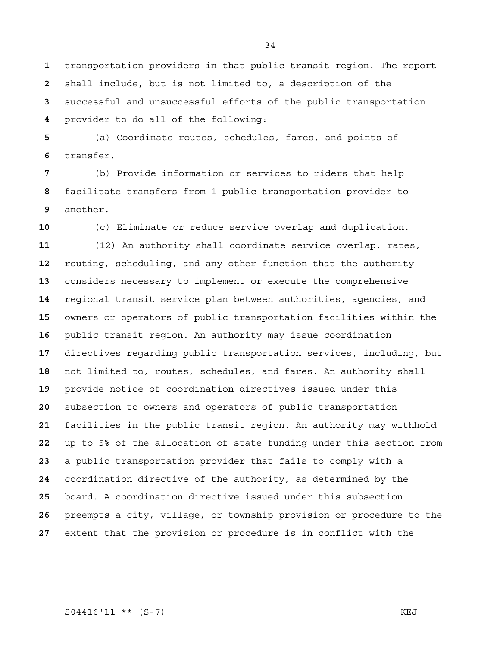transportation providers in that public transit region. The report shall include, but is not limited to, a description of the successful and unsuccessful efforts of the public transportation provider to do all of the following:

(a) Coordinate routes, schedules, fares, and points of transfer.

(b) Provide information or services to riders that help facilitate transfers from 1 public transportation provider to another.

(c) Eliminate or reduce service overlap and duplication. (12) An authority shall coordinate service overlap, rates, routing, scheduling, and any other function that the authority considers necessary to implement or execute the comprehensive regional transit service plan between authorities, agencies, and owners or operators of public transportation facilities within the public transit region. An authority may issue coordination directives regarding public transportation services, including, but not limited to, routes, schedules, and fares. An authority shall provide notice of coordination directives issued under this subsection to owners and operators of public transportation facilities in the public transit region. An authority may withhold up to 5% of the allocation of state funding under this section from a public transportation provider that fails to comply with a coordination directive of the authority, as determined by the board. A coordination directive issued under this subsection preempts a city, village, or township provision or procedure to the extent that the provision or procedure is in conflict with the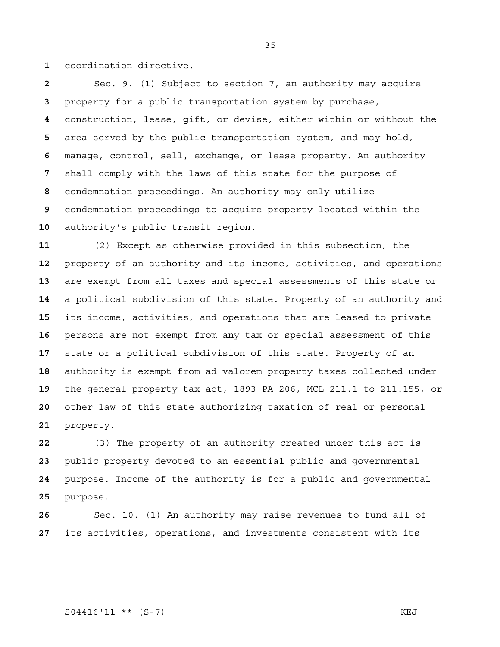coordination directive.

Sec. 9. (1) Subject to section 7, an authority may acquire property for a public transportation system by purchase, construction, lease, gift, or devise, either within or without the area served by the public transportation system, and may hold, manage, control, sell, exchange, or lease property. An authority shall comply with the laws of this state for the purpose of condemnation proceedings. An authority may only utilize condemnation proceedings to acquire property located within the authority's public transit region.

(2) Except as otherwise provided in this subsection, the property of an authority and its income, activities, and operations are exempt from all taxes and special assessments of this state or a political subdivision of this state. Property of an authority and its income, activities, and operations that are leased to private persons are not exempt from any tax or special assessment of this state or a political subdivision of this state. Property of an authority is exempt from ad valorem property taxes collected under the general property tax act, 1893 PA 206, MCL 211.1 to 211.155, or other law of this state authorizing taxation of real or personal property.

(3) The property of an authority created under this act is public property devoted to an essential public and governmental purpose. Income of the authority is for a public and governmental purpose.

Sec. 10. (1) An authority may raise revenues to fund all of its activities, operations, and investments consistent with its

S04416'11 \*\* (S-7) KEJ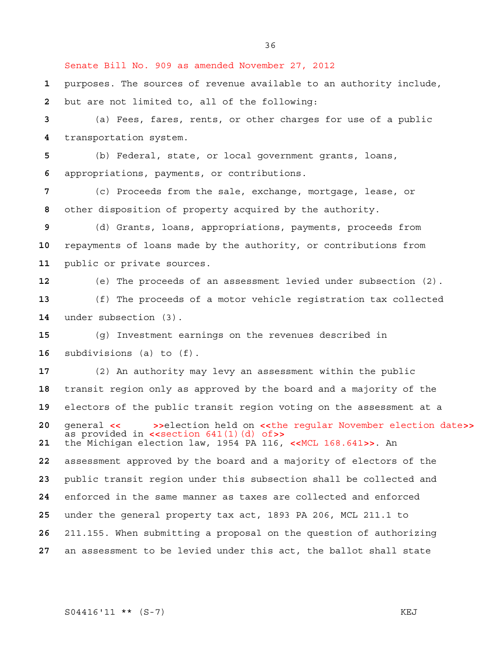Senate Bill No. 909 as amended November 27, 2012

purposes. The sources of revenue available to an authority include, but are not limited to, all of the following:

(a) Fees, fares, rents, or other charges for use of a public transportation system.

(b) Federal, state, or local government grants, loans, appropriations, payments, or contributions.

(c) Proceeds from the sale, exchange, mortgage, lease, or other disposition of property acquired by the authority.

(d) Grants, loans, appropriations, payments, proceeds from repayments of loans made by the authority, or contributions from public or private sources.

(e) The proceeds of an assessment levied under subsection (2).

(f) The proceeds of a motor vehicle registration tax collected under subsection (3).

(g) Investment earnings on the revenues described in subdivisions (a) to (f).

(2) An authority may levy an assessment within the public transit region only as approved by the board and a majority of the electors of the public transit region voting on the assessment at a general **<< >>>>>>>**election held on **<<**the regular November election date>><br>as provided in **<<**section 641(1)(d) of>><br>**21** the Michigan election law, 1954 PA 116, <<MCL 168.641>>. An the Michigan election law, 1954 PA 116, **<<**MCL 168.641**>>**. An assessment approved by the board and a majority of electors of the public transit region under this subsection shall be collected and enforced in the same manner as taxes are collected and enforced under the general property tax act, 1893 PA 206, MCL 211.1 to 211.155. When submitting a proposal on the question of authorizing an assessment to be levied under this act, the ballot shall state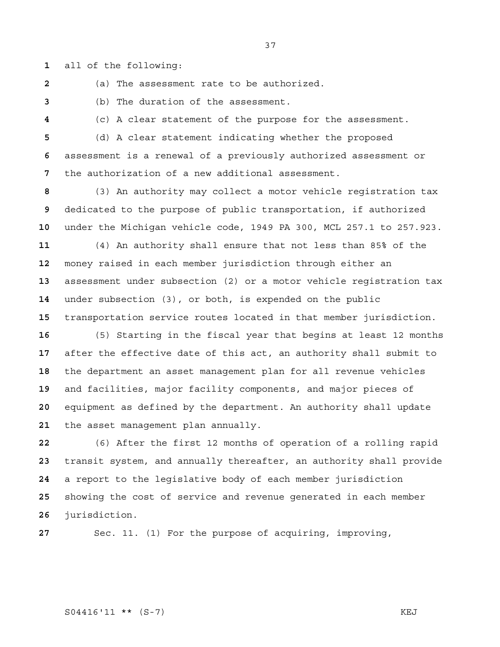all of the following:

(a) The assessment rate to be authorized.

(b) The duration of the assessment.

(c) A clear statement of the purpose for the assessment.

(d) A clear statement indicating whether the proposed assessment is a renewal of a previously authorized assessment or the authorization of a new additional assessment.

(3) An authority may collect a motor vehicle registration tax dedicated to the purpose of public transportation, if authorized under the Michigan vehicle code, 1949 PA 300, MCL 257.1 to 257.923.

(4) An authority shall ensure that not less than 85% of the money raised in each member jurisdiction through either an assessment under subsection (2) or a motor vehicle registration tax under subsection (3), or both, is expended on the public transportation service routes located in that member jurisdiction.

(5) Starting in the fiscal year that begins at least 12 months after the effective date of this act, an authority shall submit to the department an asset management plan for all revenue vehicles and facilities, major facility components, and major pieces of equipment as defined by the department. An authority shall update the asset management plan annually.

(6) After the first 12 months of operation of a rolling rapid transit system, and annually thereafter, an authority shall provide a report to the legislative body of each member jurisdiction showing the cost of service and revenue generated in each member jurisdiction.

Sec. 11. (1) For the purpose of acquiring, improving,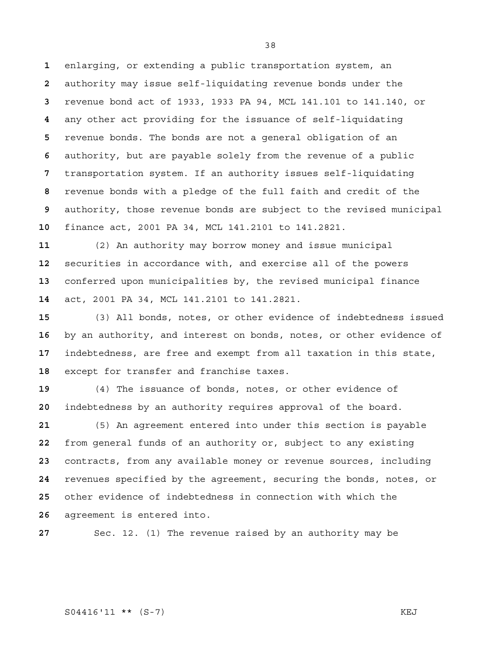enlarging, or extending a public transportation system, an authority may issue self-liquidating revenue bonds under the revenue bond act of 1933, 1933 PA 94, MCL 141.101 to 141.140, or any other act providing for the issuance of self-liquidating revenue bonds. The bonds are not a general obligation of an authority, but are payable solely from the revenue of a public transportation system. If an authority issues self-liquidating revenue bonds with a pledge of the full faith and credit of the authority, those revenue bonds are subject to the revised municipal finance act, 2001 PA 34, MCL 141.2101 to 141.2821.

(2) An authority may borrow money and issue municipal securities in accordance with, and exercise all of the powers conferred upon municipalities by, the revised municipal finance act, 2001 PA 34, MCL 141.2101 to 141.2821.

(3) All bonds, notes, or other evidence of indebtedness issued by an authority, and interest on bonds, notes, or other evidence of indebtedness, are free and exempt from all taxation in this state, except for transfer and franchise taxes.

(4) The issuance of bonds, notes, or other evidence of indebtedness by an authority requires approval of the board.

(5) An agreement entered into under this section is payable from general funds of an authority or, subject to any existing contracts, from any available money or revenue sources, including revenues specified by the agreement, securing the bonds, notes, or other evidence of indebtedness in connection with which the agreement is entered into.

Sec. 12. (1) The revenue raised by an authority may be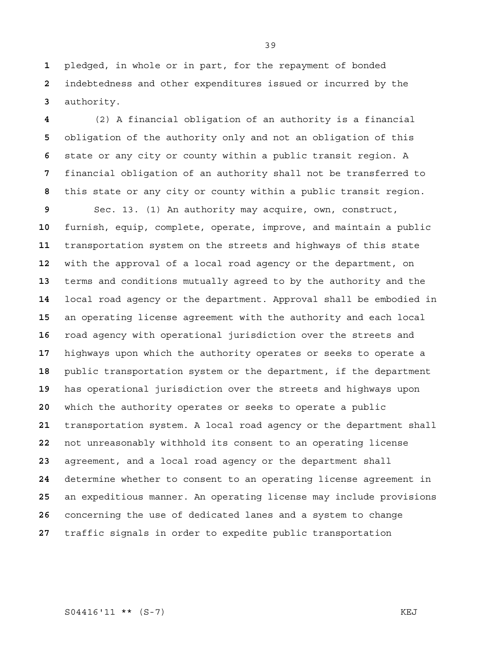pledged, in whole or in part, for the repayment of bonded indebtedness and other expenditures issued or incurred by the authority.

(2) A financial obligation of an authority is a financial obligation of the authority only and not an obligation of this state or any city or county within a public transit region. A financial obligation of an authority shall not be transferred to this state or any city or county within a public transit region.

Sec. 13. (1) An authority may acquire, own, construct, furnish, equip, complete, operate, improve, and maintain a public transportation system on the streets and highways of this state with the approval of a local road agency or the department, on terms and conditions mutually agreed to by the authority and the local road agency or the department. Approval shall be embodied in an operating license agreement with the authority and each local road agency with operational jurisdiction over the streets and highways upon which the authority operates or seeks to operate a public transportation system or the department, if the department has operational jurisdiction over the streets and highways upon which the authority operates or seeks to operate a public transportation system. A local road agency or the department shall not unreasonably withhold its consent to an operating license agreement, and a local road agency or the department shall determine whether to consent to an operating license agreement in an expeditious manner. An operating license may include provisions concerning the use of dedicated lanes and a system to change traffic signals in order to expedite public transportation

S04416'11 \*\* (S-7) KEJ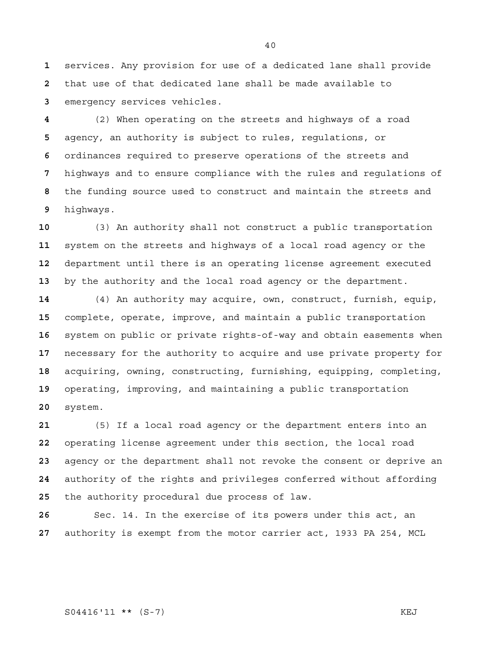services. Any provision for use of a dedicated lane shall provide that use of that dedicated lane shall be made available to emergency services vehicles.

(2) When operating on the streets and highways of a road agency, an authority is subject to rules, regulations, or ordinances required to preserve operations of the streets and highways and to ensure compliance with the rules and regulations of the funding source used to construct and maintain the streets and highways.

(3) An authority shall not construct a public transportation system on the streets and highways of a local road agency or the department until there is an operating license agreement executed by the authority and the local road agency or the department.

(4) An authority may acquire, own, construct, furnish, equip, complete, operate, improve, and maintain a public transportation system on public or private rights-of-way and obtain easements when necessary for the authority to acquire and use private property for acquiring, owning, constructing, furnishing, equipping, completing, operating, improving, and maintaining a public transportation system.

(5) If a local road agency or the department enters into an operating license agreement under this section, the local road agency or the department shall not revoke the consent or deprive an authority of the rights and privileges conferred without affording the authority procedural due process of law.

Sec. 14. In the exercise of its powers under this act, an authority is exempt from the motor carrier act, 1933 PA 254, MCL

S04416'11 \*\* (S-7) KEJ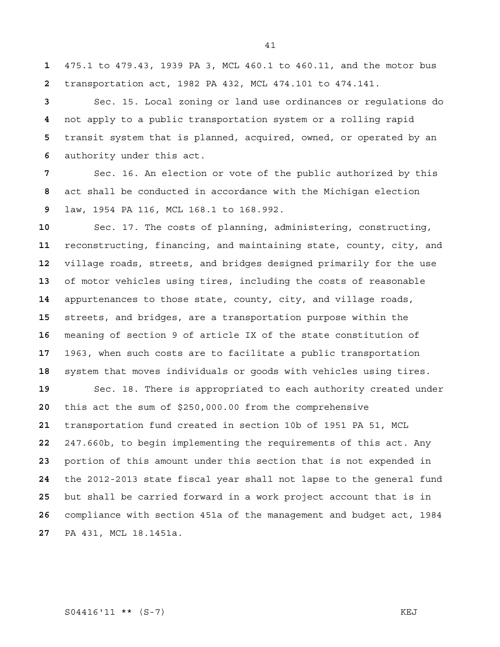475.1 to 479.43, 1939 PA 3, MCL 460.1 to 460.11, and the motor bus transportation act, 1982 PA 432, MCL 474.101 to 474.141.

Sec. 15. Local zoning or land use ordinances or regulations do not apply to a public transportation system or a rolling rapid transit system that is planned, acquired, owned, or operated by an authority under this act.

Sec. 16. An election or vote of the public authorized by this act shall be conducted in accordance with the Michigan election law, 1954 PA 116, MCL 168.1 to 168.992.

Sec. 17. The costs of planning, administering, constructing, reconstructing, financing, and maintaining state, county, city, and village roads, streets, and bridges designed primarily for the use of motor vehicles using tires, including the costs of reasonable appurtenances to those state, county, city, and village roads, streets, and bridges, are a transportation purpose within the meaning of section 9 of article IX of the state constitution of 1963, when such costs are to facilitate a public transportation system that moves individuals or goods with vehicles using tires. Sec. 18. There is appropriated to each authority created under this act the sum of \$250,000.00 from the comprehensive transportation fund created in section 10b of 1951 PA 51, MCL 247.660b, to begin implementing the requirements of this act. Any portion of this amount under this section that is not expended in the 2012-2013 state fiscal year shall not lapse to the general fund but shall be carried forward in a work project account that is in compliance with section 451a of the management and budget act, 1984 PA 431, MCL 18.1451a.

S04416'11 \*\* (S-7) KEJ